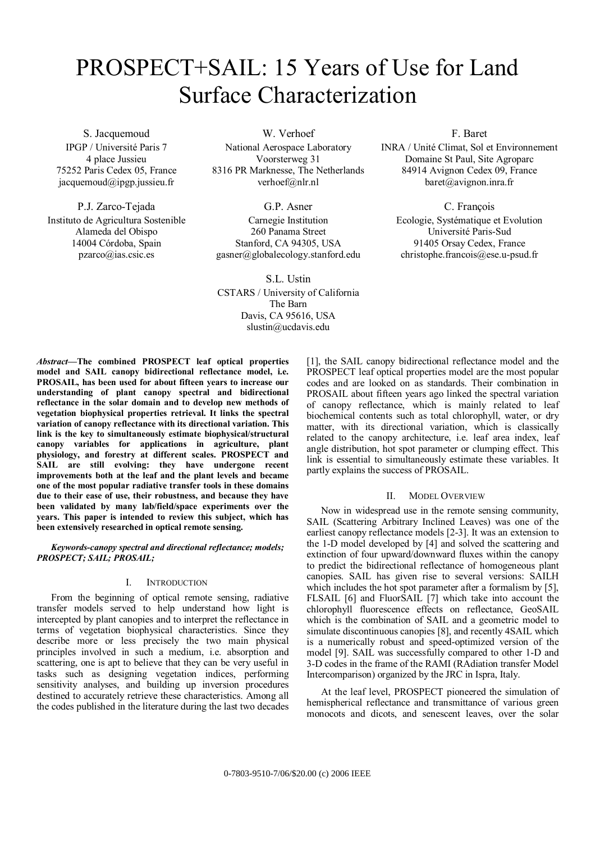# PROSPECT+SAIL: 15 Years of Use for Land Surface Characterization

S. Jacquemoud IPGP / Université Paris 7 4 place Jussieu 75252 Paris Cedex 05, France jacquemoud@ipgp.jussieu.fr

P.J. Zarco-Tejada Instituto de Agricultura Sostenible Alameda del Obispo 14004 Córdoba, Spain pzarco@ias.csic.es

W. Verhoef

National Aerospace Laboratory Voorsterweg 31 8316 PR Marknesse, The Netherlands verhoef@nlr.nl

G.P. Asner Carnegie Institution 260 Panama Street Stanford, CA 94305, USA gasner@globalecology.stanford.edu

S.L. Ustin CSTARS / University of California The Barn Davis, CA 95616, USA slustin@ucdavis.edu

F. Baret

INRA / Unité Climat, Sol et Environnement Domaine St Paul, Site Agroparc 84914 Avignon Cedex 09, France baret@avignon.inra.fr

C. François Ecologie, Systématique et Evolution Université Paris-Sud 91405 Orsay Cedex, France christophe.francois@ese.u-psud.fr

*Abstract***—The combined PROSPECT leaf optical properties model and SAIL canopy bidirectional reflectance model, i.e. PROSAIL, has been used for about fifteen years to increase our understanding of plant canopy spectral and bidirectional reflectance in the solar domain and to develop new methods of vegetation biophysical properties retrieval. It links the spectral variation of canopy reflectance with its directional variation. This link is the key to simultaneously estimate biophysical/structural canopy variables for applications in agriculture, plant physiology, and forestry at different scales. PROSPECT and SAIL are still evolving: they have undergone recent improvements both at the leaf and the plant levels and became one of the most popular radiative transfer tools in these domains due to their ease of use, their robustness, and because they have been validated by many lab/field/space experiments over the years. This paper is intended to review this subject, which has been extensively researched in optical remote sensing.** 

*Keywords-canopy spectral and directional reflectance; models; PROSPECT; SAIL; PROSAIL;* 

# I. INTRODUCTION

From the beginning of optical remote sensing, radiative transfer models served to help understand how light is intercepted by plant canopies and to interpret the reflectance in terms of vegetation biophysical characteristics. Since they describe more or less precisely the two main physical principles involved in such a medium, i.e. absorption and scattering, one is apt to believe that they can be very useful in tasks such as designing vegetation indices, performing sensitivity analyses, and building up inversion procedures destined to accurately retrieve these characteristics. Among all the codes published in the literature during the last two decades

[1], the SAIL canopy bidirectional reflectance model and the PROSPECT leaf optical properties model are the most popular codes and are looked on as standards. Their combination in PROSAIL about fifteen years ago linked the spectral variation of canopy reflectance, which is mainly related to leaf biochemical contents such as total chlorophyll, water, or dry matter, with its directional variation, which is classically related to the canopy architecture, i.e. leaf area index, leaf angle distribution, hot spot parameter or clumping effect. This link is essential to simultaneously estimate these variables. It partly explains the success of PROSAIL.

## II. MODEL OVERVIEW

Now in widespread use in the remote sensing community, SAIL (Scattering Arbitrary Inclined Leaves) was one of the earliest canopy reflectance models [2-3]. It was an extension to the 1-D model developed by [4] and solved the scattering and extinction of four upward/downward fluxes within the canopy to predict the bidirectional reflectance of homogeneous plant canopies. SAIL has given rise to several versions: SAILH which includes the hot spot parameter after a formalism by [5], FLSAIL [6] and FluorSAIL [7] which take into account the chlorophyll fluorescence effects on reflectance, GeoSAIL which is the combination of SAIL and a geometric model to simulate discontinuous canopies [8], and recently 4SAIL which is a numerically robust and speed-optimized version of the model [9]. SAIL was successfully compared to other 1-D and 3-D codes in the frame of the RAMI (RAdiation transfer Model Intercomparison) organized by the JRC in Ispra, Italy.

At the leaf level, PROSPECT pioneered the simulation of hemispherical reflectance and transmittance of various green monocots and dicots, and senescent leaves, over the solar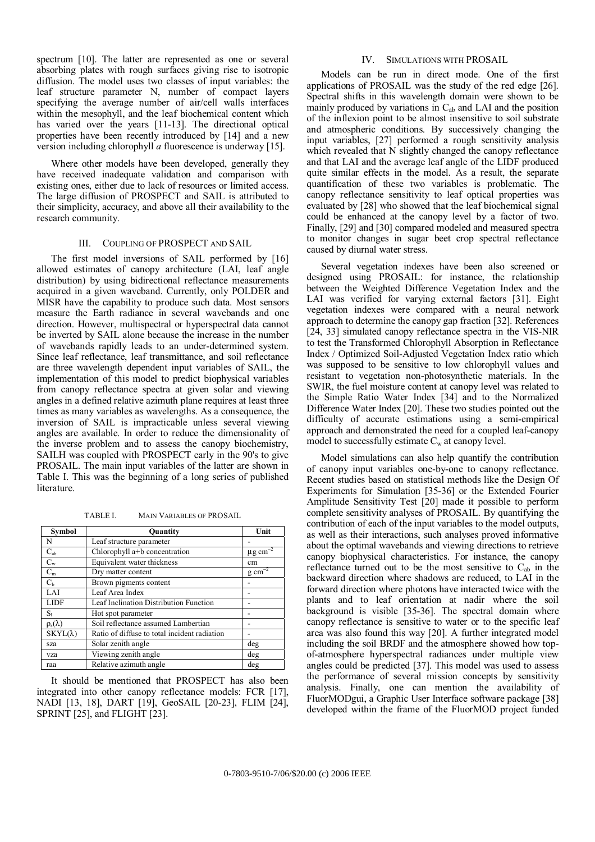spectrum [10]. The latter are represented as one or several absorbing plates with rough surfaces giving rise to isotropic diffusion. The model uses two classes of input variables: the leaf structure parameter N, number of compact layers specifying the average number of air/cell walls interfaces within the mesophyll, and the leaf biochemical content which has varied over the years [11-13]. The directional optical properties have been recently introduced by [14] and a new version including chlorophyll *a* fluorescence is underway [15].

Where other models have been developed, generally they have received inadequate validation and comparison with existing ones, either due to lack of resources or limited access. The large diffusion of PROSPECT and SAIL is attributed to their simplicity, accuracy, and above all their availability to the research community.

# III. COUPLING OF PROSPECT AND SAIL

The first model inversions of SAIL performed by [16] allowed estimates of canopy architecture (LAI, leaf angle distribution) by using bidirectional reflectance measurements acquired in a given waveband. Currently, only POLDER and MISR have the capability to produce such data. Most sensors measure the Earth radiance in several wavebands and one direction. However, multispectral or hyperspectral data cannot be inverted by SAIL alone because the increase in the number of wavebands rapidly leads to an under-determined system. Since leaf reflectance, leaf transmittance, and soil reflectance are three wavelength dependent input variables of SAIL, the implementation of this model to predict biophysical variables from canopy reflectance spectra at given solar and viewing angles in a defined relative azimuth plane requires at least three times as many variables as wavelengths. As a consequence, the inversion of SAIL is impracticable unless several viewing angles are available. In order to reduce the dimensionality of the inverse problem and to assess the canopy biochemistry, SAILH was coupled with PROSPECT early in the 90's to give PROSAIL. The main input variables of the latter are shown in Table I. This was the beginning of a long series of published literature.

TABLE I. MAIN VARIABLES OF PROSAIL

| <b>Symbol</b>           | Ouantity                                     | Unit                     |
|-------------------------|----------------------------------------------|--------------------------|
| N                       | Leaf structure parameter                     |                          |
| $C_{ab}$                | Chlorophyll a+b concentration                | $\mu$ g cm <sup>-2</sup> |
| $\rm C_w$               | Equivalent water thickness                   | cm                       |
| $C_m$                   | Dry matter content                           | g cm                     |
| $\mathrm{C}_\mathrm{b}$ | Brown pigments content                       |                          |
| LAI                     | Leaf Area Index                              |                          |
| <b>LIDF</b>             | Leaf Inclination Distribution Function       |                          |
| $S_1$                   | Hot spot parameter                           |                          |
| $\rho_{\rm s}(\lambda)$ | Soil reflectance assumed Lambertian          |                          |
| $SKYL(\lambda)$         | Ratio of diffuse to total incident radiation |                          |
| sza                     | Solar zenith angle                           | deg                      |
| vza                     | Viewing zenith angle                         | deg                      |
| raa                     | Relative azimuth angle                       | deg                      |

It should be mentioned that PROSPECT has also been integrated into other canopy reflectance models: FCR [17], NADI [13, 18], DART [19], GeoSAIL [20-23], FLIM [24], SPRINT [25], and FLIGHT [23].

### IV. SIMULATIONS WITH PROSAIL

Models can be run in direct mode. One of the first applications of PROSAIL was the study of the red edge [26]. Spectral shifts in this wavelength domain were shown to be mainly produced by variations in  $C_{ab}$  and LAI and the position of the inflexion point to be almost insensitive to soil substrate and atmospheric conditions. By successively changing the input variables, [27] performed a rough sensitivity analysis which revealed that N slightly changed the canopy reflectance and that LAI and the average leaf angle of the LIDF produced quite similar effects in the model. As a result, the separate quantification of these two variables is problematic. The canopy reflectance sensitivity to leaf optical properties was evaluated by [28] who showed that the leaf biochemical signal could be enhanced at the canopy level by a factor of two. Finally, [29] and [30] compared modeled and measured spectra to monitor changes in sugar beet crop spectral reflectance caused by diurnal water stress.

Several vegetation indexes have been also screened or designed using PROSAIL: for instance, the relationship between the Weighted Difference Vegetation Index and the LAI was verified for varying external factors [31]. Eight vegetation indexes were compared with a neural network approach to determine the canopy gap fraction [32]. References [24, 33] simulated canopy reflectance spectra in the VIS-NIR to test the Transformed Chlorophyll Absorption in Reflectance Index / Optimized Soil-Adjusted Vegetation Index ratio which was supposed to be sensitive to low chlorophyll values and resistant to vegetation non-photosynthetic materials. In the SWIR, the fuel moisture content at canopy level was related to the Simple Ratio Water Index [34] and to the Normalized Difference Water Index [20]. These two studies pointed out the difficulty of accurate estimations using a semi-empirical approach and demonstrated the need for a coupled leaf-canopy model to successfully estimate  $C_w$  at canopy level.

Model simulations can also help quantify the contribution of canopy input variables one-by-one to canopy reflectance. Recent studies based on statistical methods like the Design Of Experiments for Simulation [35-36] or the Extended Fourier Amplitude Sensitivity Test [20] made it possible to perform complete sensitivity analyses of PROSAIL. By quantifying the contribution of each of the input variables to the model outputs, as well as their interactions, such analyses proved informative about the optimal wavebands and viewing directions to retrieve canopy biophysical characteristics. For instance, the canopy reflectance turned out to be the most sensitive to  $C_{ab}$  in the backward direction where shadows are reduced, to LAI in the forward direction where photons have interacted twice with the plants and to leaf orientation at nadir where the soil background is visible [35-36]. The spectral domain where canopy reflectance is sensitive to water or to the specific leaf area was also found this way [20]. A further integrated model including the soil BRDF and the atmosphere showed how topof-atmosphere hyperspectral radiances under multiple view angles could be predicted [37]. This model was used to assess the performance of several mission concepts by sensitivity analysis. Finally, one can mention the availability of FluorMODgui, a Graphic User Interface software package [38] developed within the frame of the FluorMOD project funded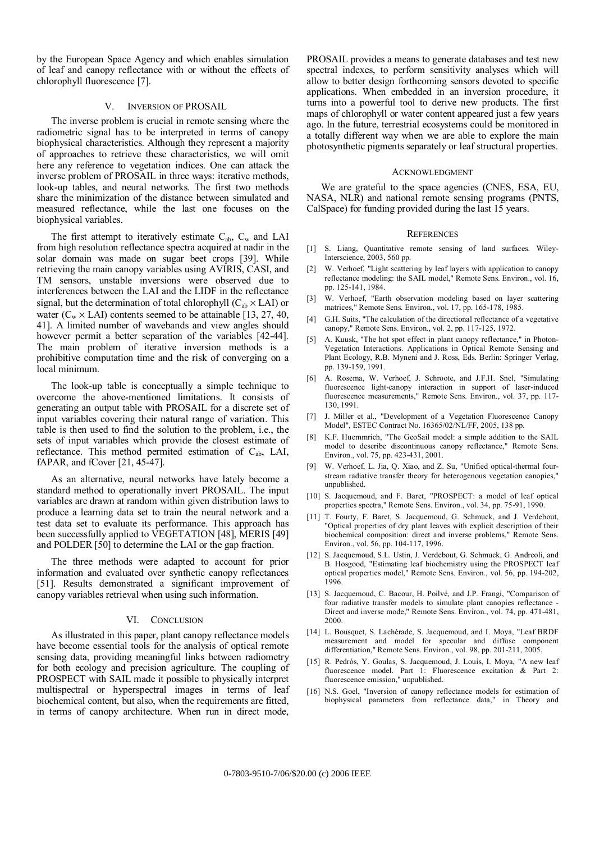by the European Space Agency and which enables simulation of leaf and canopy reflectance with or without the effects of chlorophyll fluorescence [7].

### V. INVERSION OF PROSAIL

The inverse problem is crucial in remote sensing where the radiometric signal has to be interpreted in terms of canopy biophysical characteristics. Although they represent a majority of approaches to retrieve these characteristics, we will omit here any reference to vegetation indices. One can attack the inverse problem of PROSAIL in three ways: iterative methods, look-up tables, and neural networks. The first two methods share the minimization of the distance between simulated and measured reflectance, while the last one focuses on the biophysical variables.

The first attempt to iteratively estimate  $C_{ab}$ ,  $C_w$  and LAI from high resolution reflectance spectra acquired at nadir in the solar domain was made on sugar beet crops [39]. While retrieving the main canopy variables using AVIRIS, CASI, and TM sensors, unstable inversions were observed due to interferences between the LAI and the LIDF in the reflectance signal, but the determination of total chlorophyll  $(C_{ab} \times LAI)$  or water ( $C_w \times LAI$ ) contents seemed to be attainable [13, 27, 40, 41]. A limited number of wavebands and view angles should however permit a better separation of the variables [42-44]. The main problem of iterative inversion methods is a prohibitive computation time and the risk of converging on a local minimum.

The look-up table is conceptually a simple technique to overcome the above-mentioned limitations. It consists of generating an output table with PROSAIL for a discrete set of input variables covering their natural range of variation. This table is then used to find the solution to the problem, i.e., the sets of input variables which provide the closest estimate of reflectance. This method permited estimation of Cab, LAI, fAPAR, and fCover [21, 45-47].

As an alternative, neural networks have lately become a standard method to operationally invert PROSAIL. The input variables are drawn at random within given distribution laws to produce a learning data set to train the neural network and a test data set to evaluate its performance. This approach has been successfully applied to VEGETATION [48], MERIS [49] and POLDER [50] to determine the LAI or the gap fraction.

The three methods were adapted to account for prior information and evaluated over synthetic canopy reflectances [51]. Results demonstrated a significant improvement of canopy variables retrieval when using such information.

#### VI. CONCLUSION

As illustrated in this paper, plant canopy reflectance models have become essential tools for the analysis of optical remote sensing data, providing meaningful links between radiometry for both ecology and precision agriculture. The coupling of PROSPECT with SAIL made it possible to physically interpret multispectral or hyperspectral images in terms of leaf biochemical content, but also, when the requirements are fitted, in terms of canopy architecture. When run in direct mode,

PROSAIL provides a means to generate databases and test new spectral indexes, to perform sensitivity analyses which will allow to better design forthcoming sensors devoted to specific applications. When embedded in an inversion procedure, it turns into a powerful tool to derive new products. The first maps of chlorophyll or water content appeared just a few years ago. In the future, terrestrial ecosystems could be monitored in a totally different way when we are able to explore the main photosynthetic pigments separately or leaf structural properties.

#### ACKNOWLEDGMENT

We are grateful to the space agencies (CNES, ESA, EU, NASA, NLR) and national remote sensing programs (PNTS, CalSpace) for funding provided during the last 15 years.

#### **REFERENCES**

- [1] S. Liang, Quantitative remote sensing of land surfaces. Wiley-Interscience, 2003, 560 pp.
- [2] W. Verhoef, "Light scattering by leaf layers with application to canopy reflectance modeling: the SAIL model," Remote Sens. Environ., vol. 16, pp. 125-141, 1984.
- [3] W. Verhoef, "Earth observation modeling based on layer scattering matrices," Remote Sens. Environ., vol. 17, pp. 165-178, 1985.
- [4] G.H. Suits, "The calculation of the directional reflectance of a vegetative canopy," Remote Sens. Environ., vol. 2, pp. 117-125, 1972.
- [5] A. Kuusk, "The hot spot effect in plant canopy reflectance," in Photon-Vegetation Interactions. Applications in Optical Remote Sensing and Plant Ecology, R.B. Myneni and J. Ross, Eds. Berlin: Springer Verlag, pp. 139-159, 1991.
- [6] A. Rosema, W. Verhoef, J. Schroote, and J.F.H. Snel, "Simulating fluorescence light-canopy interaction in support of laser-induced fluorescence measurements," Remote Sens. Environ., vol. 37, pp. 117- 130, 1991.
- [7] J. Miller et al., "Development of a Vegetation Fluorescence Canopy Model", ESTEC Contract No. 16365/02/NL/FF, 2005, 138 pp.
- [8] K.F. Huemmrich, "The GeoSail model: a simple addition to the SAIL model to describe discontinuous canopy reflectance," Remote Sens. Environ., vol. 75, pp. 423-431, 2001.
- [9] W. Verhoef, L. Jia, Q. Xiao, and Z. Su, "Unified optical-thermal fourstream radiative transfer theory for heterogenous vegetation canopies," unpublished.
- [10] S. Jacquemoud, and F. Baret, "PROSPECT: a model of leaf optical properties spectra," Remote Sens. Environ., vol. 34, pp. 75-91, 1990.
- [11] T. Fourty, F. Baret, S. Jacquemoud, G. Schmuck, and J. Verdebout, "Optical properties of dry plant leaves with explicit description of their biochemical composition: direct and inverse problems," Remote Sens. Environ., vol. 56, pp. 104-117, 1996.
- [12] S. Jacquemoud, S.L. Ustin, J. Verdebout, G. Schmuck, G. Andreoli, and B. Hosgood, "Estimating leaf biochemistry using the PROSPECT leaf optical properties model," Remote Sens. Environ., vol. 56, pp. 194-202, 1996.
- [13] S. Jacquemoud, C. Bacour, H. Poilvé, and J.P. Frangi, "Comparison of four radiative transfer models to simulate plant canopies reflectance - Direct and inverse mode," Remote Sens. Environ., vol. 74, pp. 471-481, 2000.
- [14] L. Bousquet, S. Lachérade, S. Jacquemoud, and I. Moya, "Leaf BRDF measurement and model for specular and diffuse component differentiation," Remote Sens. Environ., vol. 98, pp. 201-211, 2005.
- [15] R. Pedrós, Y. Goulas, S. Jacquemoud, J. Louis, I. Moya, "A new leaf fluorescence model. Part 1: Fluorescence excitation & Part 2: fluorescence emission," unpublished.
- [16] N.S. Goel, "Inversion of canopy reflectance models for estimation of biophysical parameters from reflectance data," in Theory and